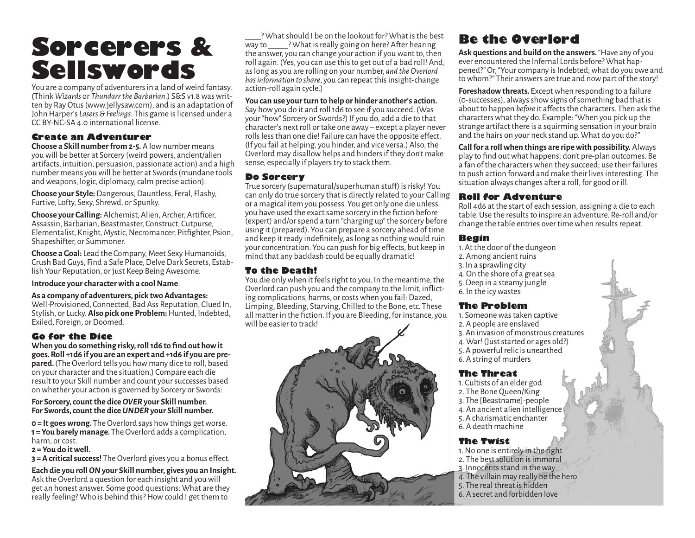# **Sorcerers & Sellswords Sellswords Sellswords Sellswords Sellswords and Sellswords and Sellswords and Sellswords and Sellswords and Sellswords and Sellswords and Sellswords and Sellswords and Sellswords and Sellswords and Sellswords a**

(Think *Wizards* or *Thundarr the Barbarian*.) S&S v1.8 was written by Ray Otus (www.jellysaw.com), and is an adaptation of John Harper's *Lasers & Feelings*. This game is licensed under a CC BY-NC-SA 4.0 international license.

#### **Create an Adventurer**

**Choose a Skill number from 2-5.** A low number means you will be better at Sorcery (weird powers, ancient/alien artifacts, intuition, persuasion, passionate action) and a high number means you will be better at Swords (mundane tools and weapons, logic, diplomacy, calm precise action).

**Choose your Style:** Dangerous, Dauntless, Feral, Flashy, Furtive, Lofty, Sexy, Shrewd, or Spunky.

**Choose your Calling:** Alchemist, Alien, Archer, Artificer, Assassin, Barbarian, Beastmaster, Construct, Cutpurse, Elementalist, Knight, Mystic, Necromancer, Pitfighter, Psion, Shapeshifter, or Summoner.

**Choose a Goal:** Lead the Company, Meet Sexy Humanoids, Crush Bad Guys, Find a Safe Place, Delve Dark Secrets, Establish Your Reputation, or just Keep Being Awesome.

**Introduce your character with a cool Name**.

#### **As a company of adventurers, pick two Advantages:**

Well-Provisioned, Connected, Bad Ass Reputation, Clued In, Stylish, or Lucky. **Also pick one Problem:** Hunted, Indebted, Exiled, Foreign, or Doomed.

#### **Go for the Dice**

**When you do something risky, roll 1d6 to find out how it goes. Roll +1d6 if you are an expert and +1d6 if you are prepared.** (The Overlord tells you how many dice to roll, based on your character and the situation.) Compare each die result to your Skill number and count your successes based on whether your action is governed by Sorcery or Swords:

#### **For Sorcery, count the dice** *OVER* **your Skill number. For Swords, count the dice** *UNDER* **your Skill number.**

**0 = It goes wrong.** The Overlord says how things get worse. **1 = You barely manage.** The Overlord adds a complication, harm, or cost.

**2 = You do it well.** 

**3 = A critical success!** The Overlord gives you a bonus effect.

**Each die you roll** *ON* **your Skill number, gives you an Insight.** Ask the Overlord a question for each insight and you will get an honest answer. Some good questions: What are they really feeling? Who is behind this? How could I get them to

\_\_\_\_? What should I be on the lookout for? What is the best way to **What is really going on here?** After hearing the answer, you can change your action if you want to, then roll again. (Yes, you can use this to get out of a bad roll! And, as long as you are rolling on your number, *and the Overlord has information to share*, you can repeat this insight-change action-roll again cycle.)

#### **You can use your turn to help or hinder another's action.**

Say how you do it and roll 1d6 to see if you succeed. (Was your "how" Sorcery or Swords?) If you do, add a die to that character's next roll or take one away – except a player never rolls less than one die! Failure can have the opposite effect. (If you fail at helping, you hinder, and vice versa.) Also, the Overlord may disallow helps and hinders if they don't make sense, especially if players try to stack them.

#### **Do Sorcery**

True sorcery (supernatural/superhuman stuff) is risky! You can only do true sorcery that is directly related to your Calling or a magical item you possess. You get only one die unless you have used the exact same sorcery in the fiction before (expert) and/or spend a turn "charging up" the sorcery before using it (prepared). You can prepare a sorcery ahead of time and keep it ready indefinitely, as long as nothing would ruin your concentration. You can push for big effects, but keep in mind that any backlash could be equally dramatic!

#### **To the Death!**

You die only when it feels right to you. In the meantime, the Overlord can push you and the company to the limit, inflicting complications, harms, or costs when you fail: Dazed, Limping, Bleeding, Starving, Chilled to the Bone, etc. These all matter in the fiction. If you are Bleeding, for instance, you will be easier to track!



# **Be the Overlord**

**Ask questions and build on the answers.** "Have any of you ever encountered the Infernal Lords before? What happened?" Or, "Your company is Indebted; what do you owe and to whom?" Their answers are true and now part of the story!

**Foreshadow threats.** Except when responding to a failure (0-successes), always show signs of something bad that is about to happen *before* it affects the characters. Then ask the characters what they do. Example: "When you pick up the strange artifact there is a squirming sensation in your brain and the hairs on your neck stand up. What do you do?"

**Call for a roll when things are ripe with possibility.** Always play to find out what happens; don't pre-plan outcomes. Be a fan of the characters when they succeed; use their failures to push action forward and make their lives interesting. The situation always changes after a roll, for good or ill.

#### **Roll for Adventure**

Roll 4d6 at the start of each session, assigning a die to each table. Use the results to inspire an adventure. Re-roll and/or change the table entries over time when results repeat.

#### **Begin**

- 1. At the door of the dungeon
- 2. Among ancient ruins
- 3. In a sprawling city
- 4. On the shore of a great sea
- 5. Deep in a steamy jungle
- 6. In the icy wastes

#### **The Problem**

- 1. Someone was taken captive
- 2. A people are enslaved
- 3. An invasion of monstrous creatures
- 4. War! (Just started or ages old?)
- 5. A powerful relic is unearthed
- 6. A string of murders

#### **The Threat**

- 1. Cultists of an elder god
- 2. The Bone Queen/King
- 3. The [Beastname]-people
- 4. An ancient alien intelligence
- 5. A charismatic enchanter
- 6. A death machine

#### **The Twist**

- 1. No one is entirely in the right
- 2. The best solution is immoral
- 3. Innocents stand in the way
- 4. The villain may really be the hero
- 5. The real threat is hidden
- 6. A secret and forbidden love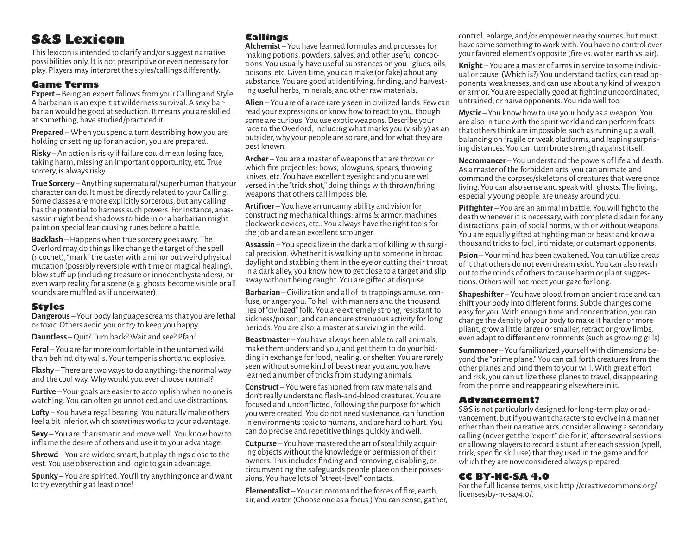# **S&S Lexicon**

This lexicon is intended to clarify and/or suggest narrative possibilities only. It is not prescriptive or even necessary for play. Players may interpret the styles/callings differently.

#### **Game Terms**

**Expert** – Being an expert follows from your Calling and Style.<br>A barbarian is an expert at wilderness survival. A sexy barbarian would be good at seduction. It means you are skilled at something, have studied/practiced it.

**Prepared** – When you spend a turn describing how you are holding or setting up for an action, you are prepared.

**Risky** – An action is risky if failure could mean losing face, taking harm, missing an important opportunity, etc. True sorcery, is always risky.

**True Sorcery** – Anything supernatural/superhuman that your character can do. It must be directly related to your Calling. Some classes are more explicitly sorcerous, but any calling has the potential to harness such powers. For instance, anassassin might bend shadows to hide in or a barbarian might paint on special fear-causing runes before a battle.

**Backlash** – Happens when true sorcery goes awry. The Overlord may do things like change the target of the spell (ricochet), "mark" the caster with a minor but weird physical mutation (possibly reversible with time or magical healing), blow stuff up (including treasure or innocent bystanders), or even warp reality for a scene (e.g. ghosts become visible or all sounds are muffled as if underwater).

#### **Styles**

**Dangerous** – Your body language screams that you are lethal or toxic. Others avoid you or try to keep you happy.

**Dauntless** – Quit? Turn back? Wait and see? Pfah!

**Feral** – You are far more comfortable in the untamed wild than behind city walls. Your temper is short and explosive.

**Flashy** – There are two ways to do anything: the normal way and the cool way. Why would you ever choose normal?

**Furtive** – Your goals are easier to accomplish when no one is watching. You can often go unnoticed and use distractions.

**Lofty** – You have a regal bearing. You naturally make others feel a bit inferior, which *sometimes* works to your advantage.

**Sexy** – You are charismatic and move well. You know how to inflame the desire of others and use it to your advantage.

**Shrewd** – You are wicked smart, but play things close to the vest. You use observation and logic to gain advantage.

**Spunky** – You are spirited. You'll try anything once and want to try everything at least once!

#### **Callings**

**Alchemist** – You have learned formulas and processes for tions. You usually have useful substances on you - glues, oils, poisons, etc. Given time, you can make (or fake) about any ing useful herbs, minerals, and other raw materials.

**Alien** – You are of a race rarely seen in civilized lands. Few can read your expressions or know how to react to you, though some are curious. You use exotic weapons. Describe your race to the Overlord, including what marks you (visibly) as an outsider, why your people are so rare, and for what they are best known.

**Archer** – You are a master of weapons that are thrown or which fire projectiles: bows, blowguns, spears, throwing knives, etc. You have excellent eyesight and you are well versed in the "trick shot," doing things with thrown/firing weapons that others call impossible.

**Artificer** – You have an uncanny ability and vision for constructing mechanical things: arms & armor, machines, clockwork devices, etc.. You always have the right tools for the job and are an excellent scrounger.

**Assassin** – You specialize in the dark art of killing with surgical precision. Whether it is walking up to someone in broad daylight and stabbing them in the eye or cutting their throat in a dark alley, you know how to get close to a target and slip away without being caught. You are gifted at disquise.

**Barbarian** – Civilization and all of its trappings amuse, confuse, or anger you. To hell with manners and the thousand lies of "civilized" folk. You are extremely strong, resistant to sickness/poison, and can endure strenuous activity for long periods. You are also a master at surviving in the wild.

**Beastmaster** – You have always been able to call animals, make them understand you, and get them to do your bidding in exchange for food, healing, or shelter. You are rarely seen without some kind of beast near you and you have learned a number of tricks from studying animals.

**Construct** – You were fashioned from raw materials and don't really understand flesh-and-blood creatures. You are focused and unconflicted, following the purpose for which you were created. You do not need sustenance, can function in environments toxic to humans, and are hard to hurt. You can do precise and repetitive things quickly and well.

**Cutpurse** – You have mastered the art of stealthily acquiring objects without the knowledge or permission of their owners. This includes finding and removing, disabling, or circumventing the safeguards people place on their posses- sions. You have lots of "street-level" contacts.

**Elementalist** – You can command the forces of fire, earth, air, and water. (Choose one as a focus.) You can sense, gather,

control, enlarge, and/or empower nearby sources, but must have some something to work with. You have no control over your favored element's opposite (fire vs. water, earth vs. air).

**Knight** – You are a master of arms in service to some individ-<br>ual or cause. (Which is?) You understand tactics, can read op-<br>ponents' weaknesses, and can use about any kind of weapon or armor. You are especially good at fighting uncoordinated, untrained, or naive opponents. You ride well too.

**Mystic** – You know how to use your body as a weapon. You are also in tune with the spirit world and can perform feats that others think are impossible, such as running up a wall, balancing on fragile or weak platforms, and leaping surprising distances. You can turn brute strength against itself.

**Necromancer** – You understand the powers of life and death. As a master of the forbidden arts, you can animate and command the corpses/skeletons of creatures that were once living. You can also sense and speak with ghosts. The living, especially young people, are uneasy around you.

**Pitfighter** – You are an animal in battle. You will fight to the death whenever it is necessary, with complete disdain for any distractions, pain, of social norms, with or without weapons. You are equally gifted at fighting man or beast and know a thousand tricks to fool, intimidate, or outsmart opponents.

**Psion** – Your mind has been awakened. You can utilize areas of it that others do not even dream exist. You can also reach out to the minds of others to cause harm or plant suggestions. Others will not meet your gaze for long.

**Shapeshifter** – You have blood from an ancient race and can shift your body into different forms. Subtle changes come easy for you. With enough time and concentration, you can change the density of your body to make it harder or more pliant, grow a little larger or smaller, retract or grow limbs, even adapt to different environments (such as growing gills).

**Summoner** – You familiarized yourself with dimensions be- yond the "prime plane." You can call forth creatures from the other planes and bind them to your will. With great effort and risk, you can utilize these planes to travel, disappearing from the prime and reappearing elsewhere in it.

#### **Advancement?**

S&S is not particularly designed for long-term play or advancement, but if you want characters to evolve in a manner other than their narrative arcs, consider allowing a secondary calling (never get the "expert" die for it) after several sessions, or allowing players to record a stunt after each session (spell, trick, specific skil use) that they used in the game and for which they are now considered always prepared.

#### **CC BY-NC-SA 4.0**

For the full license terms, visit http://creativecommons.org/ licenses/by-nc-sa/4.0/.